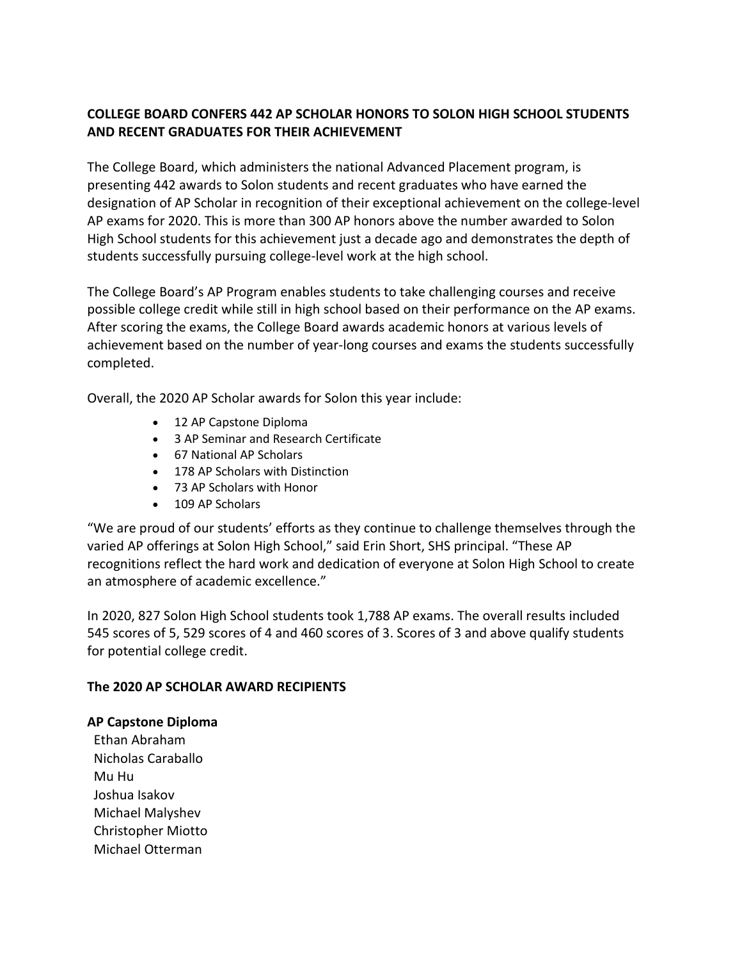# **COLLEGE BOARD CONFERS 442 AP SCHOLAR HONORS TO SOLON HIGH SCHOOL STUDENTS AND RECENT GRADUATES FOR THEIR ACHIEVEMENT**

The College Board, which administers the national Advanced Placement program, is presenting 442 awards to Solon students and recent graduates who have earned the designation of AP Scholar in recognition of their exceptional achievement on the college-level AP exams for 2020. This is more than 300 AP honors above the number awarded to Solon High School students for this achievement just a decade ago and demonstrates the depth of students successfully pursuing college-level work at the high school.

The College Board's AP Program enables students to take challenging courses and receive possible college credit while still in high school based on their performance on the AP exams. After scoring the exams, the College Board awards academic honors at various levels of achievement based on the number of year-long courses and exams the students successfully completed.

Overall, the 2020 AP Scholar awards for Solon this year include:

- 12 AP Capstone Diploma
- 3 AP Seminar and Research Certificate
- 67 National AP Scholars
- 178 AP Scholars with Distinction
- 73 AP Scholars with Honor
- 109 AP Scholars

"We are proud of our students' efforts as they continue to challenge themselves through the varied AP offerings at Solon High School," said Erin Short, SHS principal. "These AP recognitions reflect the hard work and dedication of everyone at Solon High School to create an atmosphere of academic excellence."

In 2020, 827 Solon High School students took 1,788 AP exams. The overall results included 545 scores of 5, 529 scores of 4 and 460 scores of 3. Scores of 3 and above qualify students for potential college credit.

# **The 2020 AP SCHOLAR AWARD RECIPIENTS**

### **AP Capstone Diploma**

Ethan Abraham Nicholas Caraballo Mu Hu Joshua Isakov Michael Malyshev Christopher Miotto Michael Otterman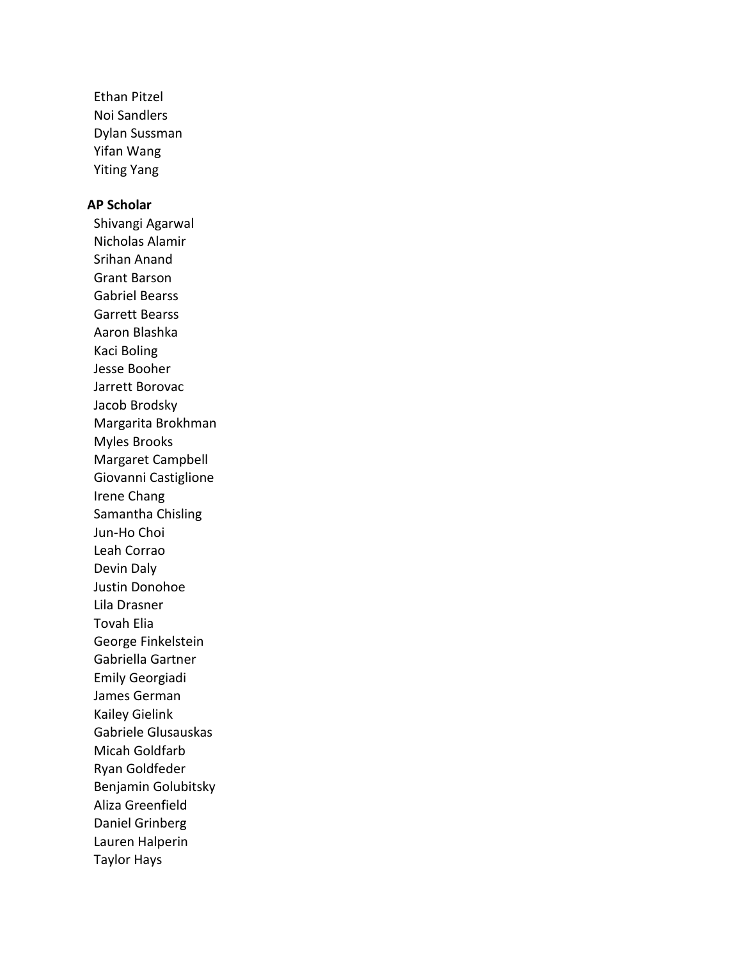Ethan Pitzel Noi Sandlers Dylan Sussman Yifan Wang Yiting Yang

### **AP Scholar**

Shivangi Agarwal Nicholas Alamir Srihan Anand Grant Barson Gabriel Bearss Garrett Bearss Aaron Blashka Kaci Boling Jesse Booher Jarrett Borovac Jacob Brodsky Margarita Brokhman Myles Brooks Margaret Campbell Giovanni Castiglione Irene Chang Samantha Chisling Jun-Ho Choi Leah Corrao Devin Daly Justin Donohoe Lila Drasner Tovah Elia George Finkelstein Gabriella Gartner Emily Georgiadi James German Kailey Gielink Gabriele Glusauskas Micah Goldfarb Ryan Goldfeder Benjamin Golubitsky Aliza Greenfield Daniel Grinberg Lauren Halperin Taylor Hays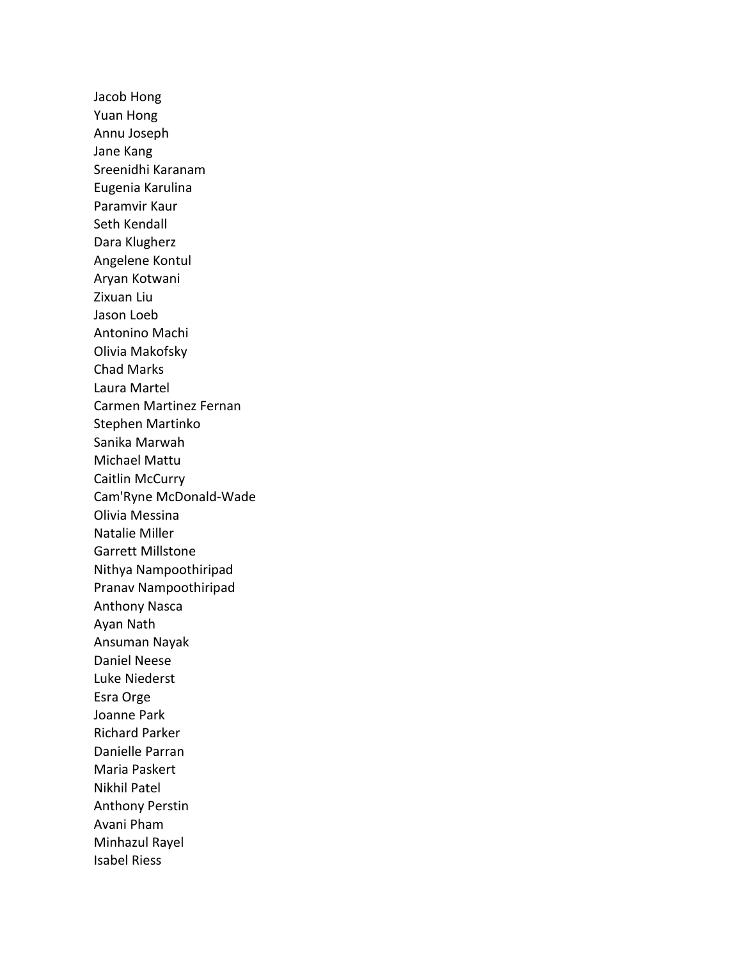Jacob Hong Yuan Hong Annu Joseph Jane Kang Sreenidhi Karanam Eugenia Karulina Paramvir Kaur Seth Kendall Dara Klugherz Angelene Kontul Aryan Kotwani Zixuan Liu Jason Loeb Antonino Machi Olivia Makofsky Chad Marks Laura Martel Carmen Martinez Fernan Stephen Martinko Sanika Marwah Michael Mattu Caitlin McCurry Cam'Ryne McDonald-Wade Olivia Messina Natalie Miller Garrett Millstone Nithya Nampoothiripad Pranav Nampoothiripad Anthony Nasca Ayan Nath Ansuman Nayak Daniel Neese Luke Niederst Esra Orge Joanne Park Richard Parker Danielle Parran Maria Paskert Nikhil Patel Anthony Perstin Avani Pham Minhazul Rayel Isabel Riess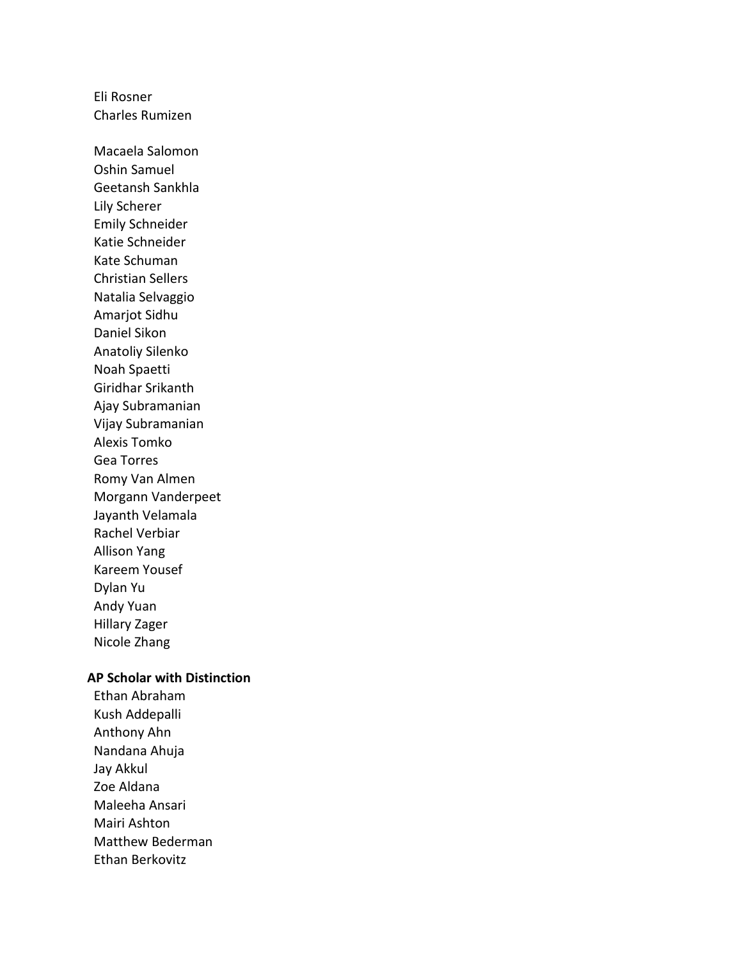Eli Rosner Charles Rumizen

Macaela Salomon Oshin Samuel Geetansh Sankhla Lily Scherer Emily Schneider Katie Schneider Kate Schuman Christian Sellers Natalia Selvaggio Amarjot Sidhu Daniel Sikon Anatoliy Silenko Noah Spaetti Giridhar Srikanth Ajay Subramanian Vijay Subramanian Alexis Tomko Gea Torres Romy Van Almen Morgann Vanderpeet Jayanth Velamala Rachel Verbiar Allison Yang Kareem Yousef Dylan Yu Andy Yuan Hillary Zager Nicole Zhang

#### **AP Scholar with Distinction**

Ethan Abraham Kush Addepalli Anthony Ahn Nandana Ahuja Jay Akkul Zoe Aldana Maleeha Ansari Mairi Ashton Matthew Bederman Ethan Berkovitz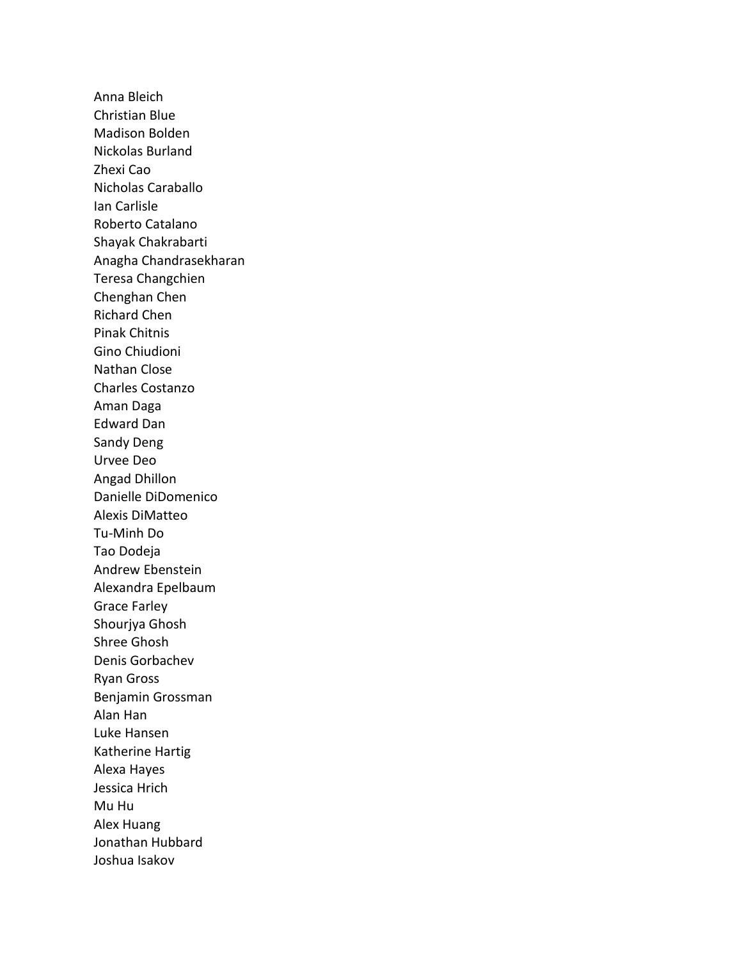Anna Bleich Christian Blue Madison Bolden Nickolas Burland Zhexi Cao Nicholas Caraballo Ian Carlisle Roberto Catalano Shayak Chakrabarti Anagha Chandrasekharan Teresa Changchien Chenghan Chen Richard Chen Pinak Chitnis Gino Chiudioni Nathan Close Charles Costanzo Aman Daga Edward Dan Sandy Deng Urvee Deo Angad Dhillon Danielle DiDomenico Alexis DiMatteo Tu-Minh Do Tao Dodeja Andrew Ebenstein Alexandra Epelbaum Grace Farley Shourjya Ghosh Shree Ghosh Denis Gorbachev Ryan Gross Benjamin Grossman Alan Han Luke Hansen Katherine Hartig Alexa Hayes Jessica Hrich Mu Hu Alex Huang Jonathan Hubbard Joshua Isakov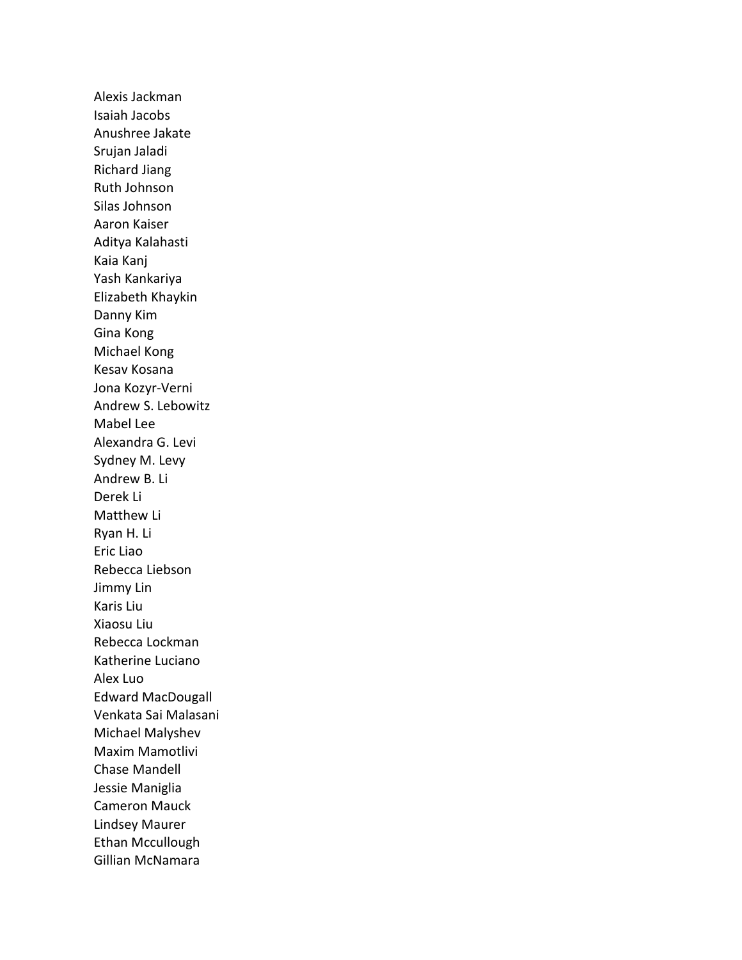Alexis Jackman Isaiah Jacobs Anushree Jakate Srujan Jaladi Richard Jiang Ruth Johnson Silas Johnson Aaron Kaiser Aditya Kalahasti Kaia Kanj Yash Kankariya Elizabeth Khaykin Danny Kim Gina Kong Michael Kong Kesav Kosana Jona Kozyr-Verni Andrew S. Lebowitz Mabel Lee Alexandra G. Levi Sydney M. Levy Andrew B. Li Derek Li Matthew Li Ryan H. Li Eric Liao Rebecca Liebson Jimmy Lin Karis Liu Xiaosu Liu Rebecca Lockman Katherine Luciano Alex Luo Edward MacDougall Venkata Sai Malasani Michael Malyshev Maxim Mamotlivi Chase Mandell Jessie Maniglia Cameron Mauck Lindsey Maurer Ethan Mccullough Gillian McNamara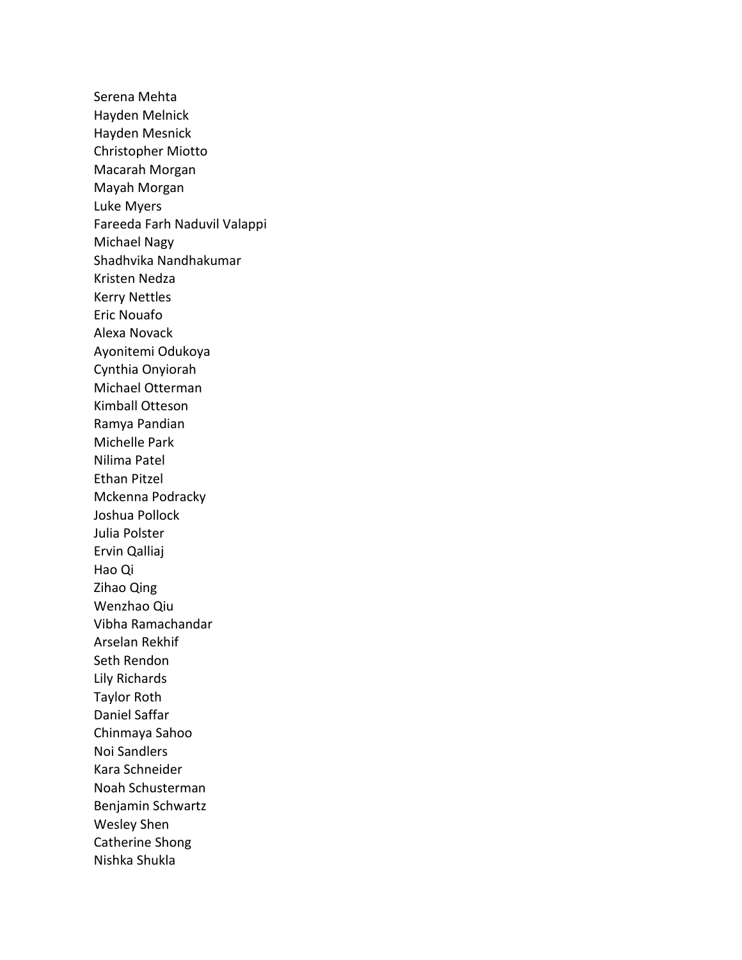Serena Mehta Hayden Melnick Hayden Mesnick Christopher Miotto Macarah Morgan Mayah Morgan Luke Myers Fareeda Farh Naduvil Valappi Michael Nagy Shadhvika Nandhakumar Kristen Nedza Kerry Nettles Eric Nouafo Alexa Novack Ayonitemi Odukoya Cynthia Onyiorah Michael Otterman Kimball Otteson Ramya Pandian Michelle Park Nilima Patel Ethan Pitzel Mckenna Podracky Joshua Pollock Julia Polster Ervin Qalliaj Hao Qi Zihao Qing Wenzhao Qiu Vibha Ramachandar Arselan Rekhif Seth Rendon Lily Richards Taylor Roth Daniel Saffar Chinmaya Sahoo Noi Sandlers Kara Schneider Noah Schusterman Benjamin Schwartz Wesley Shen Catherine Shong Nishka Shukla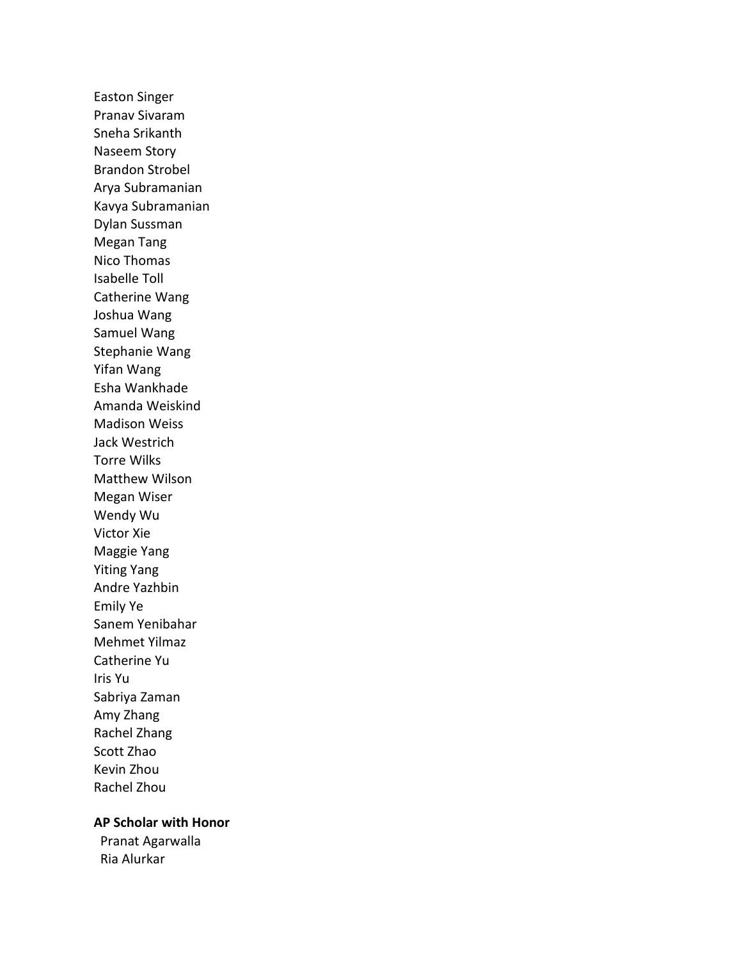Easton Singer Pranav Sivaram Sneha Srikanth Naseem Story Brandon Strobel Arya Subramanian Kavya Subramanian Dylan Sussman Megan Tang Nico Thomas Isabelle Toll Catherine Wang Joshua Wang Samuel Wang Stephanie Wang Yifan Wang Esha Wankhade Amanda Weiskind Madison Weiss Jack Westrich Torre Wilks Matthew Wilson Megan Wiser Wendy Wu Victor Xie Maggie Yang Yiting Yang Andre Yazhbin Emily Ye Sanem Yenibahar Mehmet Yilmaz Catherine Yu Iris Yu Sabriya Zaman Amy Zhang Rachel Zhang Scott Zhao Kevin Zhou Rachel Zhou

### **AP Scholar with Honor**

Pranat Agarwalla Ria Alurkar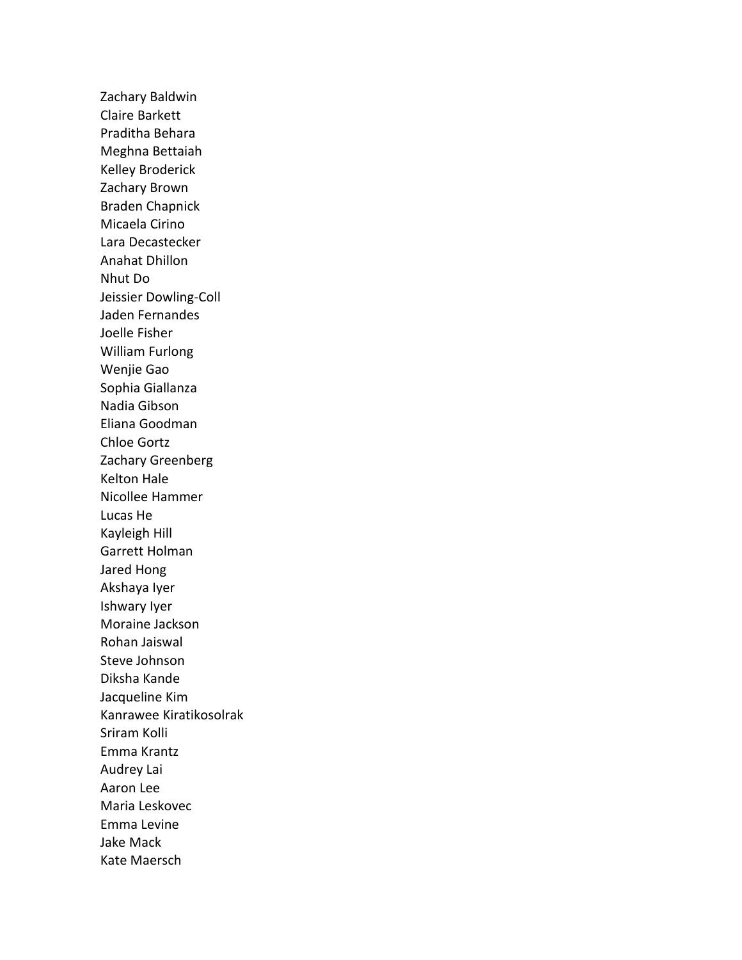Zachary Baldwin Claire Barkett Praditha Behara Meghna Bettaiah Kelley Broderick Zachary Brown Braden Chapnick Micaela Cirino Lara Decastecker Anahat Dhillon Nhut Do Jeissier Dowling-Coll Jaden Fernandes Joelle Fisher William Furlong Wenjie Gao Sophia Giallanza Nadia Gibson Eliana Goodman Chloe Gortz Zachary Greenberg Kelton Hale Nicollee Hammer Lucas He Kayleigh Hill Garrett Holman Jared Hong Akshaya Iyer Ishwary Iyer Moraine Jackson Rohan Jaiswal Steve Johnson Diksha Kande Jacqueline Kim Kanrawee Kiratikosolrak Sriram Kolli Emma Krantz Audrey Lai Aaron Lee Maria Leskovec Emma Levine Jake Mack Kate Maersch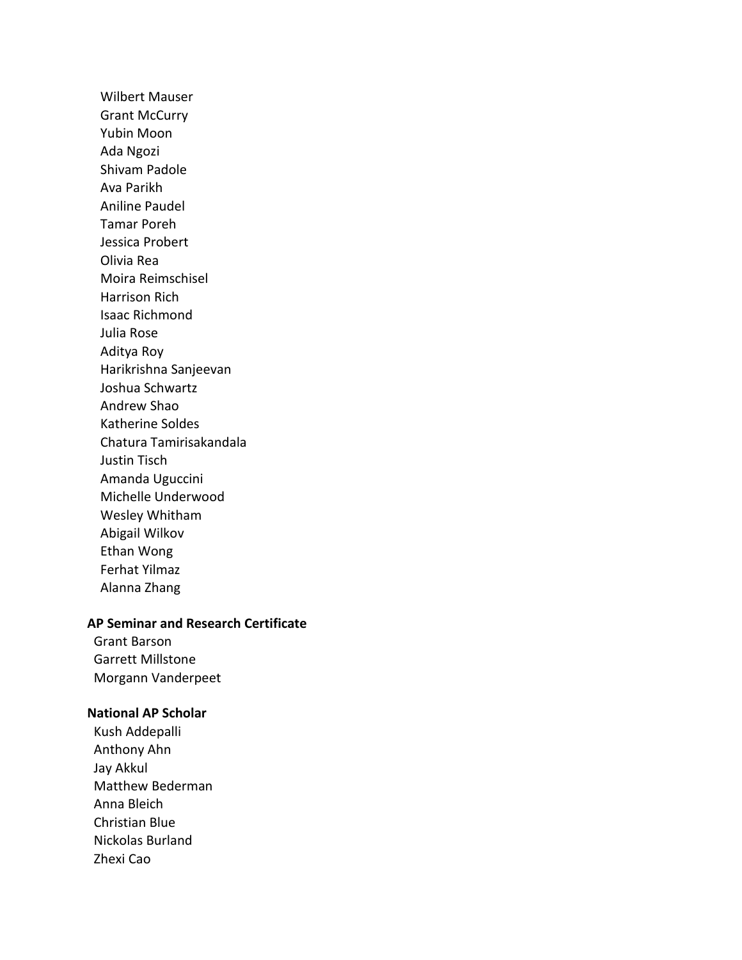Wilbert Mauser Grant McCurry Yubin Moon Ada Ngozi Shivam Padole Ava Parikh Aniline Paudel Tamar Poreh Jessica Probert Olivia Rea Moira Reimschisel Harrison Rich Isaac Richmond Julia Rose Aditya Roy Harikrishna Sanjeevan Joshua Schwartz Andrew Shao Katherine Soldes Chatura Tamirisakandala Justin Tisch Amanda Uguccini Michelle Underwood Wesley Whitham Abigail Wilkov Ethan Wong Ferhat Yilmaz Alanna Zhang

## **AP Seminar and Research Certificate**

Grant Barson Garrett Millstone Morgann Vanderpeet

### **National AP Scholar**

Kush Addepalli Anthony Ahn Jay Akkul Matthew Bederman Anna Bleich Christian Blue Nickolas Burland Zhexi Cao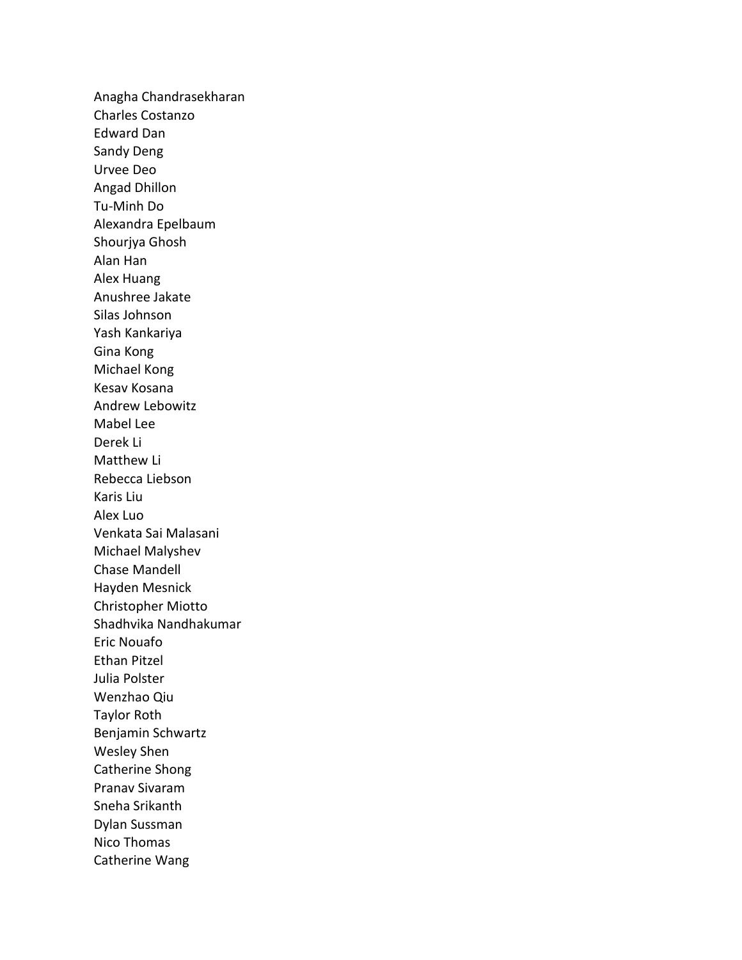Anagha Chandrasekharan Charles Costanzo Edward Dan Sandy Deng Urvee Deo Angad Dhillon Tu-Minh Do Alexandra Epelbaum Shourjya Ghosh Alan Han Alex Huang Anushree Jakate Silas Johnson Yash Kankariya Gina Kong Michael Kong Kesav Kosana Andrew Lebowitz Mabel Lee Derek Li Matthew Li Rebecca Liebson Karis Liu Alex Luo Venkata Sai Malasani Michael Malyshev Chase Mandell Hayden Mesnick Christopher Miotto Shadhvika Nandhakumar Eric Nouafo Ethan Pitzel Julia Polster Wenzhao Qiu Taylor Roth Benjamin Schwartz Wesley Shen Catherine Shong Pranav Sivaram Sneha Srikanth Dylan Sussman Nico Thomas Catherine Wang